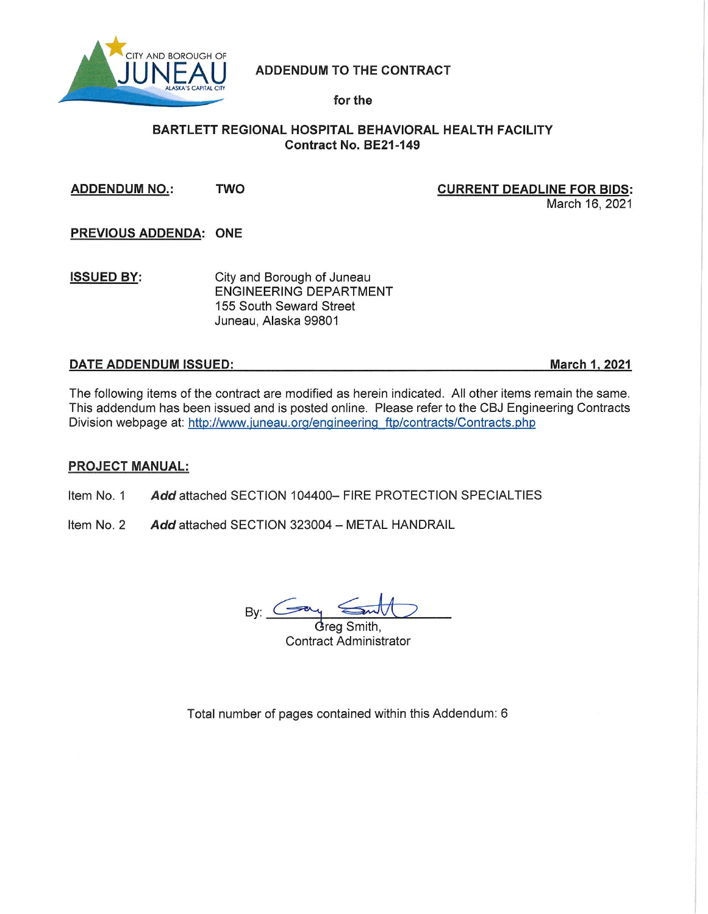

# **ADDENDUM TO THE CONTRACT**

for the

# BARTLETT REGIONAL HOSPITAL BEHAVIORAL HEALTH FACILITY Contract No. BE21-149

**TWO ADDENDUM NO.:** 

**CURRENT DEADLINE FOR BIDS:** March 16, 2021

PREVIOUS ADDENDA: ONE

**ISSUED BY:** City and Borough of Juneau **ENGINEERING DEPARTMENT** 155 South Seward Street Juneau, Alaska 99801

# DATE ADDENDUM ISSUED:

**March 1, 2021** 

The following items of the contract are modified as herein indicated. All other items remain the same. This addendum has been issued and is posted online. Please refer to the CBJ Engineering Contracts Division webpage at: http://www.juneau.org/engineering ftp/contracts/Contracts.php

# **PROJECT MANUAL:**

Item No. 1 Add attached SECTION 104400- FIRE PROTECTION SPECIALTIES

Item No. 2 Add attached SECTION 323004 - METAL HANDRAIL

By:  $C =$ 

Grea Smith. **Contract Administrator** 

Total number of pages contained within this Addendum: 6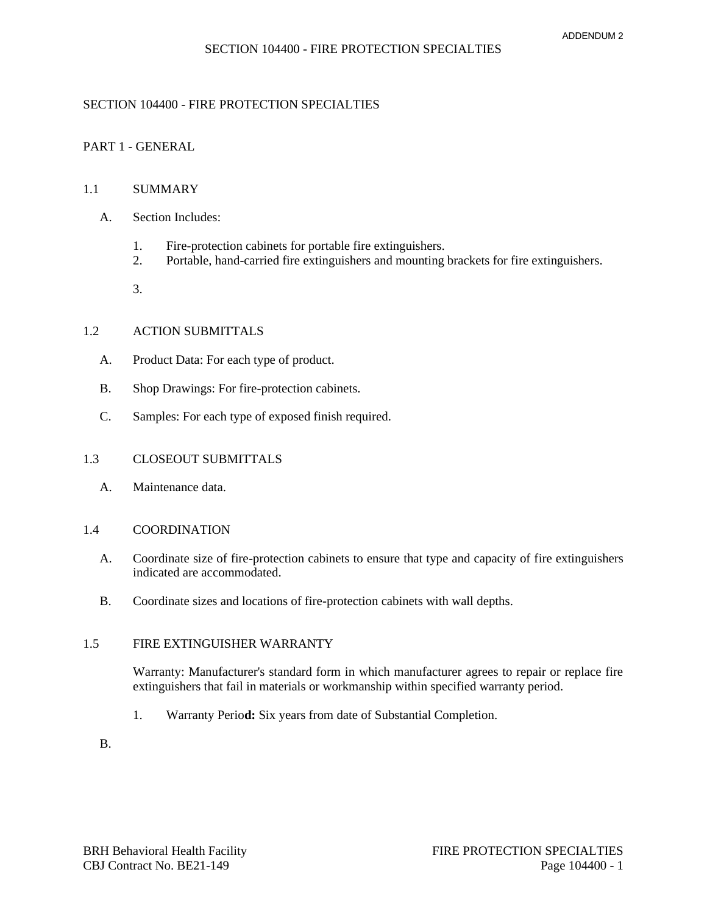## SECTION 104400 - FIRE PROTECTION SPECIALTIES

## PART 1 - GENERAL

## 1.1 SUMMARY

- A. Section Includes:
	- 1. Fire-protection cabinets for portable fire extinguishers.<br>2. Portable. hand-carried fire extinguishers and mounting
	- 2. Portable, hand-carried fire extinguishers and mounting brackets for fire extinguishers.
	- 3.

# 1.2 ACTION SUBMITTALS

- A. Product Data: For each type of product.
- B. Shop Drawings: For fire-protection cabinets.
- C. Samples: For each type of exposed finish required.

#### 1.3 CLOSEOUT SUBMITTALS

A. Maintenance data.

## 1.4 COORDINATION

- A. Coordinate size of fire-protection cabinets to ensure that type and capacity of fire extinguishers indicated are accommodated.
- B. Coordinate sizes and locations of fire-protection cabinets with wall depths.

#### 1.5 FIRE EXTINGUISHER WARRANTY

Warranty: Manufacturer's standard form in which manufacturer agrees to repair or replace fire extinguishers that fail in materials or workmanship within specified warranty period.

1. Warranty Perio**d:** Six years from date of Substantial Completion.

B.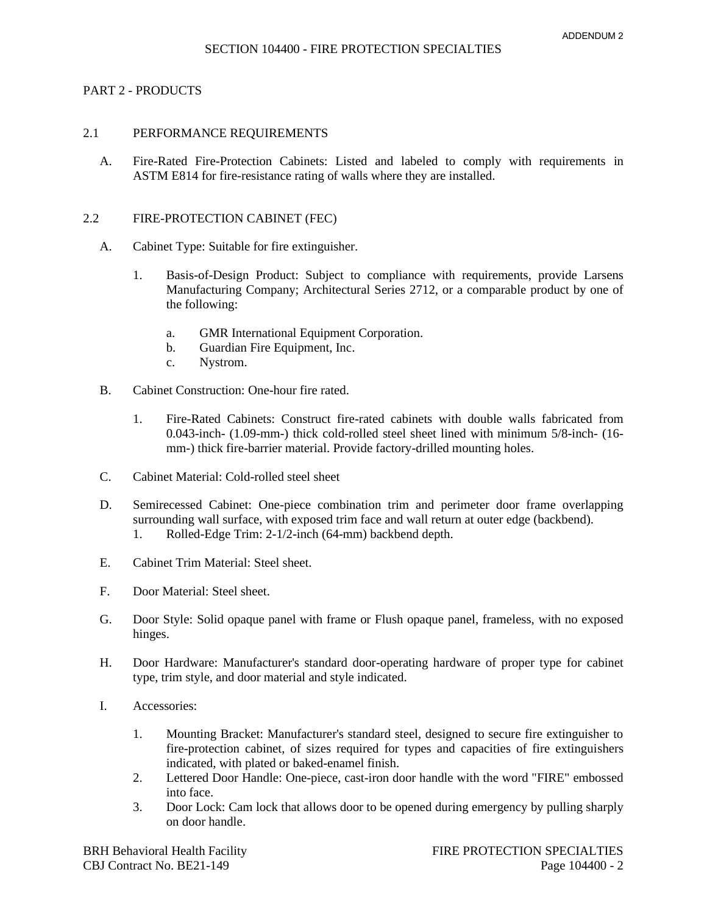## PART 2 - PRODUCTS

#### 2.1 PERFORMANCE REQUIREMENTS

A. Fire-Rated Fire-Protection Cabinets: Listed and labeled to comply with requirements in ASTM E814 for fire-resistance rating of walls where they are installed.

#### 2.2 FIRE-PROTECTION CABINET (FEC)

- A. Cabinet Type: Suitable for fire extinguisher.
	- 1. [Basis-of-Design Product:](http://www.specagent.com/Lookup?ulid=699) Subject to compliance with requirements, provide [Larsens](http://www.specagent.com/Lookup?uid=123457140649)  [Manufacturing Company;](http://www.specagent.com/Lookup?uid=123457140649) Architectural Series 2712, or a comparable product by one of the following:
		- a. [GMR International Equipment Corporation.](http://www.specagent.com/Lookup?uid=123457140650)
		- b. [Guardian Fire Equipment, Inc.](http://www.specagent.com/Lookup?uid=123457140651)
		- c. [Nystrom.](http://www.specagent.com/Lookup?uid=123457140652)
- B. Cabinet Construction: One-hour fire rated.
	- 1. Fire-Rated Cabinets: Construct fire-rated cabinets with double walls fabricated from 0.043-inch- (1.09-mm-) thick cold-rolled steel sheet lined with minimum 5/8-inch- (16 mm-) thick fire-barrier material. Provide factory-drilled mounting holes.
- C. Cabinet Material: Cold-rolled steel sheet
- D. Semirecessed Cabinet: One-piece combination trim and perimeter door frame overlapping surrounding wall surface, with exposed trim face and wall return at outer edge (backbend).
	- 1. Rolled-Edge Trim: 2-1/2-inch (64-mm) backbend depth.
- E. Cabinet Trim Material: Steel sheet.
- F. Door Material: Steel sheet.
- G. Door Style: Solid opaque panel with frame or Flush opaque panel, frameless, with no exposed hinges.
- H. Door Hardware: Manufacturer's standard door-operating hardware of proper type for cabinet type, trim style, and door material and style indicated.
- I. Accessories:
	- 1. Mounting Bracket: Manufacturer's standard steel, designed to secure fire extinguisher to fire-protection cabinet, of sizes required for types and capacities of fire extinguishers indicated, with plated or baked-enamel finish.
	- 2. Lettered Door Handle: One-piece, cast-iron door handle with the word "FIRE" embossed into face.
	- 3. Door Lock: Cam lock that allows door to be opened during emergency by pulling sharply on door handle.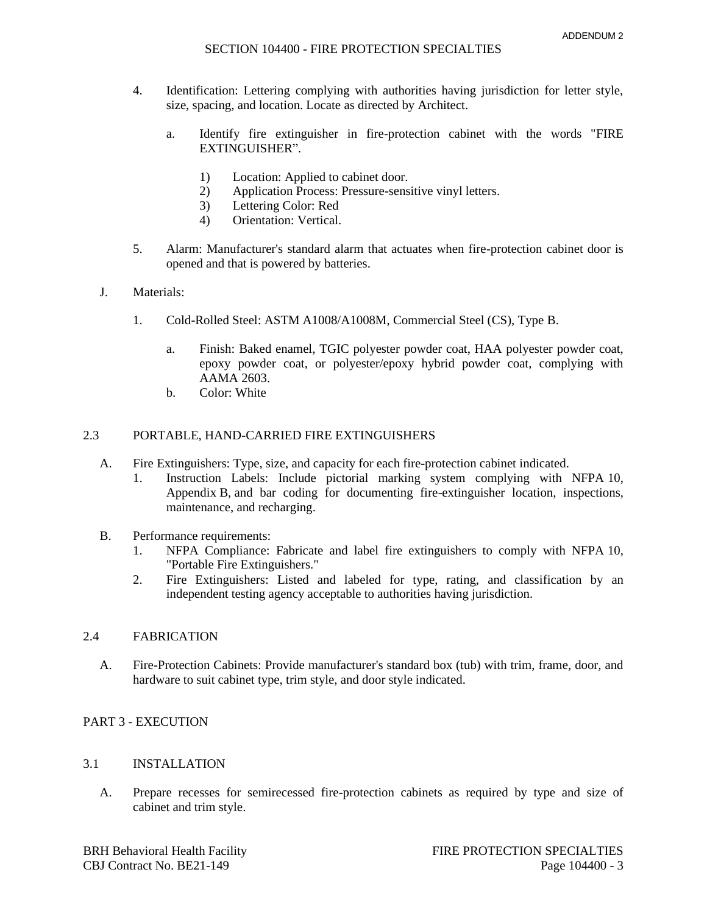- 4. Identification: Lettering complying with authorities having jurisdiction for letter style, size, spacing, and location. Locate as directed by Architect.
	- a. Identify fire extinguisher in fire-protection cabinet with the words "FIRE EXTINGUISHER".
		- 1) Location: Applied to cabinet door.
		- 2) Application Process: Pressure-sensitive vinyl letters.
		- 3) Lettering Color: Red
		- 4) Orientation: Vertical.
- 5. Alarm: Manufacturer's standard alarm that actuates when fire-protection cabinet door is opened and that is powered by batteries.
- J. Materials:
	- 1. Cold-Rolled Steel: ASTM A1008/A1008M, Commercial Steel (CS), Type B.
		- a. Finish: Baked enamel, TGIC polyester powder coat, HAA polyester powder coat, epoxy powder coat, or polyester/epoxy hybrid powder coat, complying with AAMA 2603.
		- b. Color: White

## 2.3 PORTABLE, HAND-CARRIED FIRE EXTINGUISHERS

- A. Fire Extinguishers: Type, size, and capacity for each fire-protection cabinet indicated.
	- 1. Instruction Labels: Include pictorial marking system complying with NFPA 10, Appendix B, and bar coding for documenting fire-extinguisher location, inspections, maintenance, and recharging.
- B. Performance requirements:
	- 1. NFPA Compliance: Fabricate and label fire extinguishers to comply with NFPA 10, "Portable Fire Extinguishers."
	- 2. Fire Extinguishers: Listed and labeled for type, rating, and classification by an independent testing agency acceptable to authorities having jurisdiction.

## 2.4 FABRICATION

A. Fire-Protection Cabinets: Provide manufacturer's standard box (tub) with trim, frame, door, and hardware to suit cabinet type, trim style, and door style indicated.

#### PART 3 - EXECUTION

## 3.1 INSTALLATION

A. Prepare recesses for semirecessed fire-protection cabinets as required by type and size of cabinet and trim style.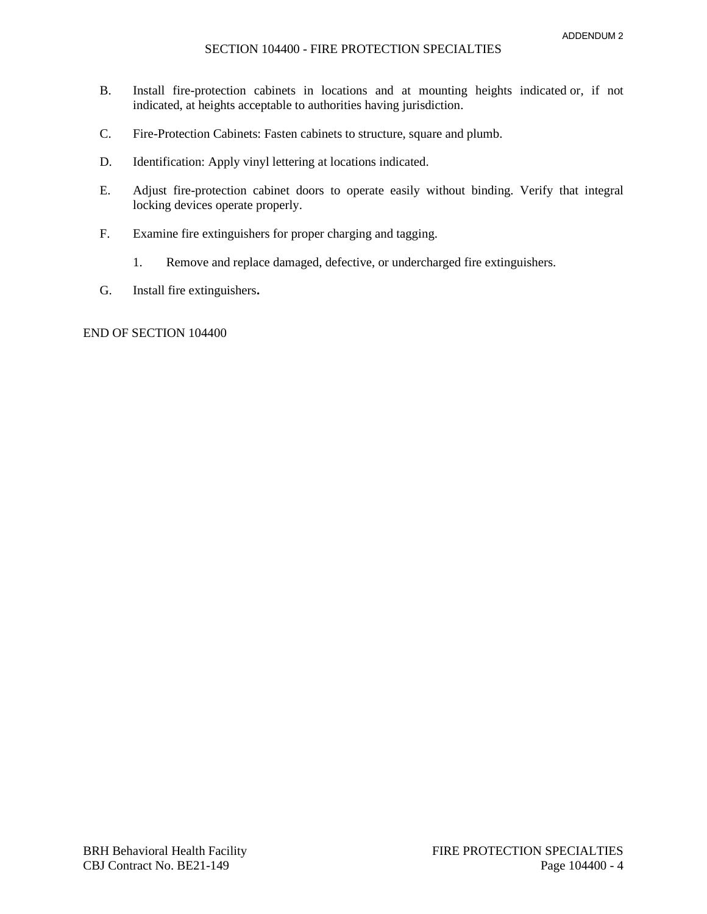#### SECTION 104400 - FIRE PROTECTION SPECIALTIES

- B. Install fire-protection cabinets in locations and at mounting heights indicated or, if not indicated, at heights acceptable to authorities having jurisdiction.
- C. Fire-Protection Cabinets: Fasten cabinets to structure, square and plumb.
- D. Identification: Apply vinyl lettering at locations indicated.
- E. Adjust fire-protection cabinet doors to operate easily without binding. Verify that integral locking devices operate properly.
- F. Examine fire extinguishers for proper charging and tagging.
	- 1. Remove and replace damaged, defective, or undercharged fire extinguishers.
- G. Install fire extinguishers**.**

## END OF SECTION 104400